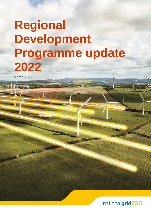# **Regional Development Programme update 2022**

March 2022

**CONTRACTOR** 

nationalgridESO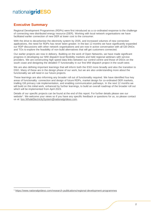### **Executive Summary**

Regional Development Programmes (RDPs) were first introduced as a co-ordinated response to the challenge of connecting new distributed energy resource (DER). Working with local network organisations we have facilitated earlier connection of new DER at lower cost to the consumer.

With the drive to decarbonise the electricity system by 2035, and increased volumes of new connection applications, the need for RDPs has never been greater. In the last 12 months we have significantly expanded our RDP discussions with other network organisations and are now in active conversation with all GB DNOs and TOs to explore the feasibility of non-build alternatives that will get customers connected.

Our earlier projects are now in delivery. Building on the work of Open Networks, we have made significant progress in developing our MW dispatch local flexibility markets and held regional webinars with service providers. We are constructing high speed data links between our control centre and those of DSOs on the south coast and designing the detailed IT functionality in our first MW dispatch project in the south west.

We are also defining important learnings that will inform both the ESO more broadly and also the transition to DSO. Many of these are in the design phase of our work, but we are also understanding more about the functionality we will need in our future projects.

These learnings are also informing any broader roll out of functionality required. We have identified four key areas of functionality: connection and design of future RDPs, market design for co-ordinated DER markets, trialling GB primacy rule implementation, and enabling communication pathways. In the next 12 months we will build on this initial work, enhanced by further learnings, to build an overall roadmap of the broader roll out which will be implemented from April 2023.

Details of our specific projects can be found at the end of this report. For further details please see our website<sup>1</sup>. We welcome your views so if you have any specific feedback or questions for us, so please contact us at: [box.WholeElectricitySystem@nationalgrideso.com.](mailto:box.WholeElectricitySystem@nationalgrideso.com)

<sup>1</sup> <https://www.nationalgrideso.com/research-publications/regional-development-programmes>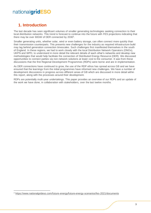# **1. Introduction**

The last decade has seen significant volumes of smaller generating technologies seeking connection to their local distribution networks. This trend is forecast to continue into the future with FES projections indicating that there may be over 60GW of DER connected by 2030<sup>2</sup>.

Smaller generating units, whether solar, wind or even battery storage, can often connect more quickly than their transmission counterparts. This presents new challenges for the industry as required infrastructure build may lag behind generation connection timescales. Such challenges first manifested themselves in the south of England. In these regions, we had to work closely with the local Distribution Network Operators (DNOs), UKPN and WPD, to understand in more detail the relevant details of each other's networks and develop new methodologies that would help facilitate the connection of Distributed Energy Resource (DER). We discussed opportunities to connect parties via non-network solutions at lower cost to the consumer. It was from these discussions that the first Regional Development Programmes (RDPs) were borne and are in implementation.

As DER connections have continued to grow, the use of the RDP ethos has spread across GB and we have ensured that the learnings from the initial programmes have informed new challenges. We have a number of development discussions in progress across different areas of GB which are discussed in more detail within this report, along with the processes around their development.

RDPs are potentially multi-year undertakings. This paper provides an overview of our RDPs and an update of the work we have done, in collaboration with stakeholders, over the last twelve months.

<sup>2</sup> <https://www.nationalgrideso.com/future-energy/future-energy-scenarios/fes-2021/documents>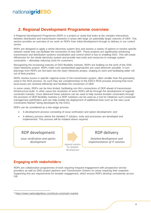# **2. Regional Development Programme overview**

A Regional Development Programme (RDP) is a project or study that looks at the complex interactions between distribution and transmission networks in areas with large (or potentially large) volumes of DER. This section provides an overview of our work on RDPs from initial development through to delivery in our control centre.

RDPs are designed to apply a whole electricity system lens and assess a variety of options to resolve specific network needs that can facilitate the connection of new DER. These projects are significantly enhancing transmission and distribution systems coordination and control which is key to enabling DSO. This will create efficiencies for the whole electricity system and provide new tools and resources to manage system constraints – ultimately reducing costs for customers.

Recognising the increasing maturity of DSO flexibility markets, RDPs are building on the work of the ENA Open Networks project. RDPs make sure standardised approaches are used wherever possible. In turn learnings from RDPs are fed back into the Open Networks project, shaping its work and facilitating wider roll out of best practice.

RDPs resolve issues in specific regional areas of the transmission system, often smaller than the granularity used in the NOA process. As such they are complementary to the ESO's NOA process ensuring that more local issues are resolved efficiently and facilitate the connection of DER.

In some cases, RDPs can be time limited, facilitating non-firm connections of DER ahead of transmission infrastructure build. In other cases the resolution of some RDPs will be through the development of regional constraint markets. Once delivered these solutions can be used to help resolve broader constraints through the provision of DER flexibility markets (i.e.RDP solutions can be used as a tool for initiatives such constraint management pathfinders and can help enable the deployment of additional tools such as the new Local Constraints Market<sup>3</sup> being developed by the ESO).

RDPs can be considered as a two-stage process:

- A development process consisting of issue verification and option development; and
- A delivery process where the detailed IT solution, tools and processes are developed and implemented. This process will be initiated where required.

### RDP development

*Issue verification and option development*



RDP delivery

*Detailed development and implementation of IT solution*

### **Engaging with stakeholders**

RDPs are collaborative programmes of work requiring frequent engagement with prospective service providers as well as DNO project partners and Transmission Owners on areas requiring their expertise. Supporting this are requirements for broader engagement, which ensure RDPs develop consistently across GB.

<sup>3</sup> <https://www.nationalgrideso.com/local-constraint-market>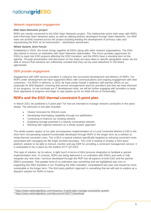#### Network organisation engagement

#### **ENA Open Networks project**

RDPs are closely connected to the ENA Open Networks project. This relationship works both ways with RDPs both informing Open Networks policy as well as utilising policies developed through Open Networks. Our RDP team are actively involved across the project including leading the development of primacy rules and representing the ESO on its transmission – distribution workstream.

#### **Whole System Joint Forum**

Established in 2020, this forum brings together all DSOs along with other network organisations. The ENA also attend to ensure co-ordination with Open Networks deliverables. The forum provides opportunity for DSOs to input into ESO projects affecting the DSO transition, and the RDPs have a standing item on the agenda. Through presentation and discussion on the steps we have taken in specific geographic areas we are able to ensure that solutions are sufficiently rounded that they can be used elsewhere in GB where appropriate.

#### DER provider engagement

Engagement with DER service providers is critical to the successful development and delivery of RDPs. For RDPs under development we have supported DNOs with communications and ongoing engagement with their customers. For RDPs in delivery, in 2021 we have jointly hosted 3 webinars with partner DNOs on our proposals for MW dispatch, ensuring that service arrangements work for providers and they are kept informed of our progress. As we conclude our IT development work, we will be further engaging with providers to keep them appraised of progress and begin to sign parties up for an initial roll-out of functionality.

### **RDPs and the ESO thermal constraint 5-point plan**

In March 2021 we published a 5-point plan<sup>4</sup> for how we intended to manage network constraints in the years ahead. The elements in this plan included:

- Clearer forecasts for BSUoS costs
- Developing intertripping capability through our pathfinders
- Continuing to improve our existing network
- Exploiting storage potential in a heavily constrained network
- Working with regional networks on a whole-system approach

The whole-system aspect of our plan encompasses implementation of a Local Constraint Market (LCM) in the short term incorporating required functionality developed through RDPs in the longer term as a solution to rising thermal constraint costs. The LCM is a tactical solution specifically targeted at reducing constraint costs associated with managing the B6 Anglo-Scottish boundary. The LCM is looking to employ a third-party platform solution to be able to instruct, monitor and pay DER for providing a constraint management service. It is anticipated to be in place by the earliest of FY Q2 2023.

This type of solution, by its nature, is light touch in terms of BAU process integration to facilitate a quicker implementation time. In contrast, RDPs are being delivered in co-ordination with DNOs and seek to fully integrate any new tools / services developed through the RDP into all aspects of both ESO and the partner DNO's processes. This greater level of co-ordination was something that we highlighted was core to supporting the DSO transition in our 'Enabling the DSO transition' consultation5 last year and should be more sustainable in the longer term. The third party platform approach is something that we will look to explore as a dispatch solution for RDPs in future.

<sup>4</sup> <https://www.nationalgrideso.com/news/our-5-point-plan-manage-constraints-system>

<sup>5</sup> <https://www.nationalgrideso.com/document/190271/download>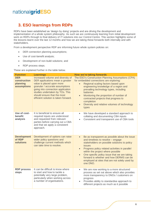# **3. ESO learnings from RDPs**

RDPs have been established as 'design by doing' projects and are driving the development and implementation of a whole system philosophy. As such we are continuously learning from initial development work on RDPs through to final delivery of IT solutions into our Control Centre. This section highlights some of the lessons learnt over the last 12 months and how we are taking these forwards both internally and with stakeholders.

From a development perspective RDP are informing future whole system policies on:

- DER connection planning assumptions;
- Use of cost-benefit analysis;
- Development of non-build solutions; and
- RDP process steps.

These are explained further in the table below.

| <b>Function</b>                                       | <b>Learnings</b>                                                                                                                                                                                                                                                                    | How we're taking forwards                                                                                                                                                                                                                                                                                                                                                                                                                 |
|-------------------------------------------------------|-------------------------------------------------------------------------------------------------------------------------------------------------------------------------------------------------------------------------------------------------------------------------------------|-------------------------------------------------------------------------------------------------------------------------------------------------------------------------------------------------------------------------------------------------------------------------------------------------------------------------------------------------------------------------------------------------------------------------------------------|
| <b>DER</b><br>construction<br>planning<br>assumptions | Increased volume and diversity of<br>DER applications mean a greater<br>value is placed upon more<br>granular / accurate assumptions<br>going into connection application<br>studies undertaken by TOs. This<br>should ensure that the most<br>efficient solution is taken forward. | The ESO's Construction Planning Assumptions (CPA)<br>for embedded connections are exploring:<br>Regional scaling factors based upon<br>engineering knowledge of a region and<br>prevailing technology types, including<br><b>batteries</b><br>Monitoring the proportion of number of<br>$\bullet$<br>contracted projects that progress to<br>completion<br>Diversity and relative volumes of technology<br>$\bullet$<br>types             |
| Use of cost-<br>benefit<br>analysis                   | It is beneficial to ensure all<br>required inputs are understood<br>and requested from relevant<br>parties before carrying out a CBA<br>and that we apply a consistent<br>approach.                                                                                                 | We have developed a standard approach to<br>$\bullet$<br>collating and documenting CBA inputs<br>Consistent and transparent use of CBA tools<br>$\bullet$                                                                                                                                                                                                                                                                                 |
| <b>Development</b><br>of RDP<br><b>solutions</b>      | Development of options can raise<br>wider policy questions and<br>challenge current methods which<br>can take time to resolve.                                                                                                                                                      | Be as transparent as possible about the issue<br>$\bullet$<br>and timelines to resolve - engage<br>stakeholders on possible solutions to policy<br><b>issues</b><br>Progress policy related activities in parallel<br>$\bullet$<br>within the project where possible<br>One specific policy issue that we are taking<br>$\bullet$<br>forward is whether and how DERMS can be<br>employed at sites that are not solely used by<br>one DNO. |
| <b>RDP process</b><br>steps                           | It can be difficult to know where<br>to start and how to tackle a<br>potentially very large problem,<br>particularly when working across<br>a number of organisations.                                                                                                              | We are now working to a more structured<br>$\bullet$<br>process as set out above which also provides<br>more transparency to DNOs / customers on<br>progress<br>Provides ability to standardise approach to<br>$\bullet$<br>different projects as much as it possible                                                                                                                                                                     |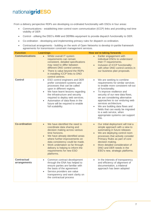From a delivery perspective RDPs are developing co-ordinated functionality with DSOs in four areas:

- Communications establishing inter-control room communication (ICCP) links and providing real time visibility of DER
- Control utilising the DSO's ANM and DERMs equipment to provide dispatch functionality to DER.
- Co-ordination developing and implementing primacy rules for dispatch co-ordination.
- Contractual arrangements building on the work of Open Networks to develop tri-partite framework agreements for transmission constraint management services.

| <b>Function</b>                    | <b>Learnings</b>                                                                                                                                                                                                                                                                                                                                                                  | How we're taking forwards                                                                                                                                                                                                                                                                                                                                                                                                                                       |
|------------------------------------|-----------------------------------------------------------------------------------------------------------------------------------------------------------------------------------------------------------------------------------------------------------------------------------------------------------------------------------------------------------------------------------|-----------------------------------------------------------------------------------------------------------------------------------------------------------------------------------------------------------------------------------------------------------------------------------------------------------------------------------------------------------------------------------------------------------------------------------------------------------------|
| <b>Communications</b>              | Whilst overall IT system<br>$\bullet$<br>requirements can remain<br>consistent, detailed specifications<br>may need to differ between<br>different DNO control centres.<br>There is value beyond the RDPs<br>$\bullet$<br>in installing ICCP links to DNO<br>control centres.                                                                                                     | Earlier engagement with<br>$\bullet$<br>individual DNOs to understand<br>their IT requirements.<br>Inclusion of ICCP functionality<br>with other DNO control centres in<br>our business plan proposals.                                                                                                                                                                                                                                                         |
| <b>Control</b>                     | ESO control engineers and DER<br>$\bullet$<br>prefer consistent systems and<br>processes that can be called<br>upon in different regions.<br>We have learnt lessons regarding<br>$\bullet$<br>the infrastructure and security<br>required to deploy web services.<br>Automation of data flows in the<br>$\bullet$<br>future will be required to enable<br>full scalability.       | We are seeking to combine<br>$\bullet$<br>requirements for similar services<br>to enable more consistent roll-out<br>of functionality.<br>To improve resilience and<br>$\bullet$<br>security of our new data flows,<br>we are considering alternative<br>approaches to our enduring web<br>services architecture.<br>We are building data flows and<br>fields that can easily be migrated<br>to a web service, when<br>appropriate systems can support<br>this. |
| <b>Co-ordination</b>               | We have identified the need to<br>$\bullet$<br>coordinate data sharing and<br>decision making across various<br>time horizons.<br>We have already identified areas<br>$\bullet$<br>where further improvements on<br>data consistency could be made.<br>Work undertaken so far through<br>$\bullet$<br>delivery is helping to inform the<br>requirements for new ESO<br>platforms. | Our initial deployment will trial a<br>$\bullet$<br>simple approach with a view to<br>automating in future releases<br>We are deploying control room<br>$\bullet$<br>processes that actively consider<br>Primacy Rules as part of core<br>decision making.<br>More detailed consideration of<br>DNO and DER needs in the<br>ESO's new, strategic platforms.                                                                                                     |
| <b>Contractual</b><br>arrangements | Common contract development<br>$\bullet$<br>through the ENA has helped to<br>ensure parties are familiar with<br>the basis of the agreement<br>Service providers are value<br>$\bullet$<br>transparency and want clarity on<br>the contractual process                                                                                                                            | In the interests of transparency<br>$\bullet$<br>and efficiency of alignment of<br>documentation, a trilateral<br>approach has been adopted                                                                                                                                                                                                                                                                                                                     |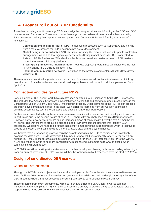# **4. Broader roll out of RDP functionality**

As well as providing specific learnings RDPs as 'design by doing' activities are informing wider ESO and DSO processes and frameworks. These are broader learnings that we believe will inform and enhance existing ESO processes, making them appropriate to support DSO. Currently RDPs are informing four areas of functionality:

- **Connection and design of future RDPs** embedding processes such as Appendix G and moving from a reactive process for RDP initiation to pro-active development
- **Market design for co-ordinated DER markets** –including the broader roll out of tri-partite contractual arrangements as well as leveraging experience of facilitating market access for DER connected to ANM and DERMS schemes. This also includes how we can widen market access to RDP markets through the use of third party platforms.
- **Trialling GB primacy rule implementation** our MW dispatch programmes will implement the first IT functionality in GB utilising primacy rules.
- **Enabling communication pathways** establishing the protocols and systems that facilitate greater visibility of DER.

These areas are described in greater detail below. In all four areas we will continue to develop our thinking over the next 12 months to develop an overall roadmap for broader roll out which will be implemented from April 2023.

### **Connection and design of future RDPs**

Early elements of RDP design work have already been adopted in our Business as Usual (BAU) processes. This includes the 'Appendix G' process now established across GB and being formalised in code through the Connections Use of System Code (CUSC) modification process. Other elements of the RDP design process are still in development and earlier in the paper we highlighted learnings from our work on connection planning assumptions, cost benefit analysis and development of non-build options.

Further work is needed to bring these areas into mainstream industry connection and development processes. In part this is due to the specific nature of each RDP, where different challenges require different solutions. However, as we move forward we are finding increased areas of commonality. Over the next 12 months we will be working with others to produce a plan to embed RDP development activities into industry BAU processes. We believe we need to go further than simply embedding the current process which is reactive to specific connections by moving towards a more strategic view of future system needs.

We believe that a new ongoing process could be established within the ESO to routinely and proactively examine the data from DNOs to determine future need for new solutions or identify where to implement an existing RDP tool. These forecasts of future needs would be for each GSP (potentially similar to the WPD D-NOA) and would allow us to be more transparent with connecting customers as to what to expect when connecting in different areas.

In 2022/23 we will be working with stakeholders to further develop our thinking in this area, pulling in learnings from our current development RDPs. We would then be looking to roll out processes from the start of 2023/24.

### **Design of co-ordinated DER markets**

#### Contractual arrangements

Through the MW dispatch projects we have worked with partner DNOs to develop the contractual frameworks which facilitate DER provision of transmission system services whilst also acknowledging the key roles of the DSO in both facilitating market access and ensuring operational co-ordination through primacy.

These tri-partite framework agreements, which build on and utilise the ENA Open Networks common framework agreement (WS1A P4), can then be used more broadly to provide clarity to contractual roles and responsibilities in the delivery of DER services for transmission system needs.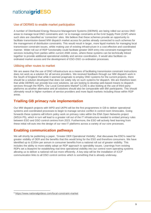#### Use of DERMS to enable market participation

A number of Distributed Energy Resource Management Systems (DERMS) are being rolled out across DNO areas to manage local DNO constraints and / or to manage constraints at the Grid Supply Point (GSP) where such sites are classified as 'connection' sites. We believe that these schemes provide an opportunity to facilitate transmission-based MW dispatch market access for parties already connected to such schemes for the management of distribution constraints. This would result in larger, more liquid markets for managing local transmission constraint issues, whilst making use of existing infrastructure in a cost effective and coordinated manner. Wider roll out of RDP functionality could facilitate greater DER entry into constraint management services including from parties within current ANM zones, where these systems can be technically linked together to provide additional operational visibility and service coordination. It would also facilitate coordinated market access and the development of ESO-DSO co-ordination processes.

#### Utilising other routes to market

We are aware that the use of DNO infrastructure as a means of facilitating transmission constraint instructions does not work as a solution for all service providers. We received feedback through our MW dispatch work in the South of England that while it seemed pragmatic to employ DNO systems for the current projects, there should be a solution developed that does not solely rely on such systems for dispatch. We are therefore keen that while DERMS can provide low-cost solutions, we are looking to develop web-based means to dispatch services through the RDPs. Our Local Constraints Market<sup>6</sup> (LCM) is also looking at the use of third-party platforms as another alternative and all solutions should also be comparable with BM participants. This should ultimately result in higher numbers of service providers and more liquid markets including those within RDP areas.

### **Trialling GB primacy rule implementation**

Our MW dispatch projects with WPD and UKPN will be the first programmes in GB to deliver operational systems and coordinated processes to begin to manage service conflict in control room timescales. Going forwards these systems will inform policy work on primacy rules within the ENA Open Networks project (WS1A P5), which in turn will lead to a greater roll out of the IT infrastructure needed to embed primacy rules between ESO and DSO control centres from 2023. Furthermore, the ESO will actively feed learning from these initial roll-outs into the design of our new IT platforms across a variety of our core processes.

#### **Enabling communication pathways**

We will shortly be publishing a paper, 'Greater DER Operational Visibility', that discusses the ESO's need for greater visibility of DER and the benefits that this would bring for the ESO and therefore consumers. We have identified up to £150m per annum in consumer benefits from a national roll out of greater visibility. This includes the ability to more widely adopt an RDP approach to operability issues. Learnings from existing RDPs set a blueprint for establishing real time operational visibility into our control room operating systems allowing us to deliver a national roll-out more efficiently. A key step will be the installation of ICCP communication links to all DSO control centres which is something that is already underway.

<sup>6</sup> <https://www.nationalgrideso.com/local-constraint-market>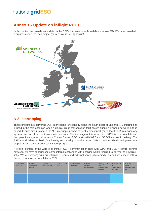# **Annex 1 - Update on inflight RDPs**

In this section we provide an update on the RDPs that are currently in delivery across GB. We have provided a progress chart for each project (current status is in light blue).



### **N-3 intertripping**

These projects are delivering DER intertripping functionality along the south coast of England. N-3 intertripping is used in the rare occasion when a double circuit transmission fault occurs during a planned network outage period. In such circumstances the N-3 intertripping works to quickly disconnect (or de-load) DER, removing any system overloads from the transmission network. The first stage of this work, with UKPN, is now complete and the operational system is live in our Control Centre. ESO works with WPD and SSE-N are now in delivery. The SSE-N work takes this basic functionality and develops it further, using ANM to reduce a distributed generator's output rather than provide a basic intertrip signal.

A critical element of the work is to install (ICCP) communication links with WPD and SSE-N control centres however, we have experienced some internal challenges with enabling works required to deliver the new ICCP links. We are working with our internal IT teams and external vendors to remedy this and we expect both of these rollouts to conclude later in 2022.

| Exploration<br>of issues | Confirm<br>constraint<br>details | <b>Option</b><br>assessment | <b>CBA</b><br>of<br>options | <b>Confirmation</b><br>of solution | <b>Defined</b><br>solution<br>development | Delivery-<br>$\mathsf{I}$<br><b>MVP</b><br>requirements<br>& design | Delivery - IT<br><b>MVP</b><br>development<br>& testing | <b>Delivery</b><br>-<br><b>MVP</b><br>implementati<br>on |
|--------------------------|----------------------------------|-----------------------------|-----------------------------|------------------------------------|-------------------------------------------|---------------------------------------------------------------------|---------------------------------------------------------|----------------------------------------------------------|
|                          |                                  |                             |                             |                                    |                                           |                                                                     |                                                         |                                                          |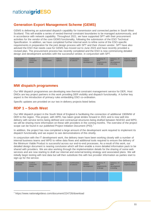### **Generation Export Management Scheme (GEMS)**

GEMS is delivering an automated dispatch capability for transmission and connected parties in South West Scotland. This will enable a series of nested thermal constraint boundaries to be managed autonomously, and in accordance with network capability. Throughout 2021, we have supported SPT with their procurement activities for the vendor of the core GEMS functionality, following the submission of the ESO Technical Specification. In addition, we have completed further internal work to refine some of the ESO-specific requirements in preparation for the joint design process with SPT and their chosen vendor. SPT have also advised the ESO that needs case for GEMS has moved out to June 2023 and have recently provided a revised plan. The procurement process has recently completed and the ESO is now commencing detailed design and development activities with the successful vendor, in conjunction with SPT.

| Exploration<br>of issues | <b>Confirm</b><br>constraint<br>details | Option<br>assessment | CBA of<br>options | Confirmation<br>of solution | <b>Defined</b><br>solution<br>development | Delivery-IT<br><b>MVP</b><br>requirements<br>& design | Delivery - IT<br><b>MVP</b><br>development<br>& testing | Delivery - MVP<br>implementation |
|--------------------------|-----------------------------------------|----------------------|-------------------|-----------------------------|-------------------------------------------|-------------------------------------------------------|---------------------------------------------------------|----------------------------------|
|                          |                                         |                      |                   |                             |                                           |                                                       |                                                         |                                  |

#### **MW dispatch programmes**

Our MW dispatch programmes are developing new thermal constraint management service for DER, Host DNOs are key project partners in this work providing DER visibility and dispatch functionality. A further key aspect is the introduction of primacy rules embedding DSO co-ordination.

Specific updates are provided on our two in-delivery projects listed below.

#### **RDP 1 – South West**

Our MW dispatch project in the South West of England is facilitating the connection of additional 1900MW of DER to the region. This project, with WPD, has taken great strides forward in 2021 and is now well into delivery with service terms being defined and contractual structures being drafted between NGESO and WPD, we will be sharing more information on these with providers in the coming months. The overview of the project scope can be found in our published Project Initiation Document (PID).<sup>7</sup>

In addition, the project has now completed a large amount of the development work required to implement its dispatch functionality and we expect to see demonstrations of this shortly.

In conjunction with the IT development work, the delivery team have been working closely with a number of internal business teams and WPD to refine data flows and additional tools required to ensure the delivery of the Minimum Viable Product is successful across our end-to-end processes. As a result of this work, our detailed design document is nearing conclusion which will then enable a more detailed information pack to be shared with providers. We are also working through the implementation details for the sharing of some web services and are now starting to draft our internal and external testing strategy and associated plans. We will initially begin testing with test data but will then substitute this with live provider information as parties start to sign-up for the service.

| Exploration<br>of issues | <b>Confirm</b><br>constraint<br>details | Option<br>assessment | CBA of<br>options | Confirmation<br>of solution | <b>Defined</b><br>solution<br>development | Delivery-IT<br><b>MVP</b><br>requirements<br>& design | Delivery - IT<br><b>MVP</b><br>development<br>& testing | Delivery - MVP<br>implementation |
|--------------------------|-----------------------------------------|----------------------|-------------------|-----------------------------|-------------------------------------------|-------------------------------------------------------|---------------------------------------------------------|----------------------------------|
|                          |                                         |                      |                   |                             |                                           |                                                       |                                                         |                                  |

<sup>7</sup> https://www.nationalgrideso.com/document/224726/download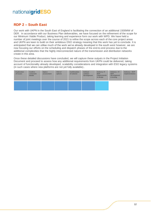### **RDP 2 – South East**

Our work with UKPN in the South East of England is facilitating the connection of an additional 1500MW of DER. In accordance with our Business Plan deliverables, we have focused on the refinement of the scope for our Minimum Viable Product, taking learning and experience form our work with WPD. We have held a number of joint meetings over the course of 2021 to refine the scope across each of the core project areas and UKPN are keen to build on their ambitious DSO strategy meaning that this work has yet to conclude. It is anticipated that we can utilise much of the work we've already developed in the south west however, we are now focusing our efforts on the scheduling and dispatch phases of the end-to-end process due to the additional complexities that the highly interconnected nature of the transmission and distribution networks create in this area.

Once these detailed discussions have concluded, we will capture these outputs in the Project Initiation Document and proceed to assess how any additional requirements from UKPN could be delivered, taking account of functionality already developed, scalability considerations and integration with ESO legacy systems (in such cases where new platforms are not yet fully available)..

| Exploration<br>of issues | Confirm<br>constraint<br>details | Option<br>assessment | CBA of<br>options | Confirmation<br>of solution | <b>Defined</b><br>solution<br>development | Delivery-IT<br><b>MVP</b><br>requirements<br>& design | Delivery-IT<br><b>MVP</b><br>development<br>& testing | Delivery - MVP<br>implementation |
|--------------------------|----------------------------------|----------------------|-------------------|-----------------------------|-------------------------------------------|-------------------------------------------------------|-------------------------------------------------------|----------------------------------|
|                          |                                  |                      |                   |                             |                                           |                                                       |                                                       |                                  |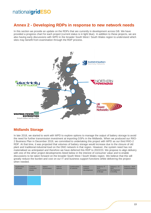## **Annex 2 - Developing RDPs in response to new network needs**

In this section we provide an update on the RDPs that are currently in development across GB. We have provided a progress chart for each project (current status is in light blue). In addition to these projects, we are also having early discussions with WPD in the broader South West / South Wales region to understand which sites may benefit from examination through the RDP process.



### **Midlands Storage**

In late 2018, we started to work with WPD to explore options to manage the output of battery storage to avoid the need for further transmission investment at importing GSPs in the Midlands. When we produced our RIIO-2 Business Plan in December 2019, we committed to undertaking this project with WPD as our third RIIO-2 RDP. At that time, it was projected that volumes of battery storage would increase due to the closure of old plant and traditional industrial load on the DNO network in that region. However, the system need has not materialised as anticipated and therefore we have deferred this RDP to 2022/23. We propose to align delivery with one of the other project developments listed below in the interest of consumer value and to enable discussions to be taken forward on the broader South West / South Wales region. We believe that this will greatly reduce the burden and cost on our IT and business support functions whilst delivering the project when needed.

| <b>Exploration</b><br>of issues | Confirm<br>constraint<br>details | <b>Option</b><br>assessment | CBA of<br>options | Confirmation<br>of solution | <b>Defined</b><br>solution<br>development | Delivery-IT<br><b>MVP</b><br>requirements<br>& design | Delivery - IT<br><b>MVP</b><br>development<br>& testing | Delivery - MVP<br>implementation |
|---------------------------------|----------------------------------|-----------------------------|-------------------|-----------------------------|-------------------------------------------|-------------------------------------------------------|---------------------------------------------------------|----------------------------------|
|                                 |                                  |                             |                   |                             |                                           |                                                       |                                                         |                                  |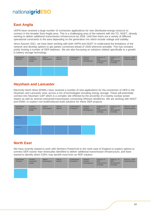# **East Anglia**

UKPN have received a large number of connection applications for new distributed energy resource to connect in the broader East Anglia area. This is a challenging area of the network with the TO, NGET, already working to deliver additional transmission infrastructure by 2028. Until then there are a variety of different operational constraints in the area depending on the generation mix which include voltage and stability.

Since Autumn 2021, we have been working with both UKPN and NGET to understand the limitations of the network and develop options to get parties connected ahead of 2028 wherever possible. This has included jointly hosting a number of DER webinars. We are also focussing on solutions related specifically to a growth in battery storage technology.

| Exploration<br>of issues | Confirm<br>constraint<br>details | Option<br>assessment | CBA of<br>options | Confirmation<br>of solution | <b>Defined</b><br>solution<br>development | Delivery-IT<br><b>MVP</b><br>requirements<br>& design | Delivery - IT<br><b>MVP</b><br>development<br>& testing | Delivery - MVP<br>implementation |
|--------------------------|----------------------------------|----------------------|-------------------|-----------------------------|-------------------------------------------|-------------------------------------------------------|---------------------------------------------------------|----------------------------------|
|                          |                                  |                      |                   |                             |                                           |                                                       |                                                         |                                  |

### **Heysham and Lancaster**

Electricity North West (ENWL) have received a number of new applications for the connection of DER in the Heysham and Lancaster area, across a mix of technologies including energy storage. These will potentially connect into Heysham GSP which is a complex site effected by the proximity of a nearby nuclear power station as well as several contracted transmission-connecting offshore windfarms. We are working with NGET and ENWL to explore non-build/reduced build solutions for these DER projects.



### **North East**

We have recently started to work with Northern PowerGrid in the north east of England to explore options to connect DER sooner than timescales identified to deliver additional transmission infrastructure, and have started to identify which GSPs may benefit most from an RDP solution.

| <b>Exploration</b><br>of issues | Confirm<br>constraint<br>details | <b>Option</b><br>assessment | CBA of<br>options | Confirmation<br>of solution | <b>Defined</b><br>solution<br>development | Delivery-IT<br><b>MVP</b><br>requirements<br>& design | Delivery - IT<br><b>MVP</b><br>development<br>& testing | Delivery - MVP<br>implementation |
|---------------------------------|----------------------------------|-----------------------------|-------------------|-----------------------------|-------------------------------------------|-------------------------------------------------------|---------------------------------------------------------|----------------------------------|
|                                 |                                  |                             |                   |                             |                                           |                                                       |                                                         |                                  |